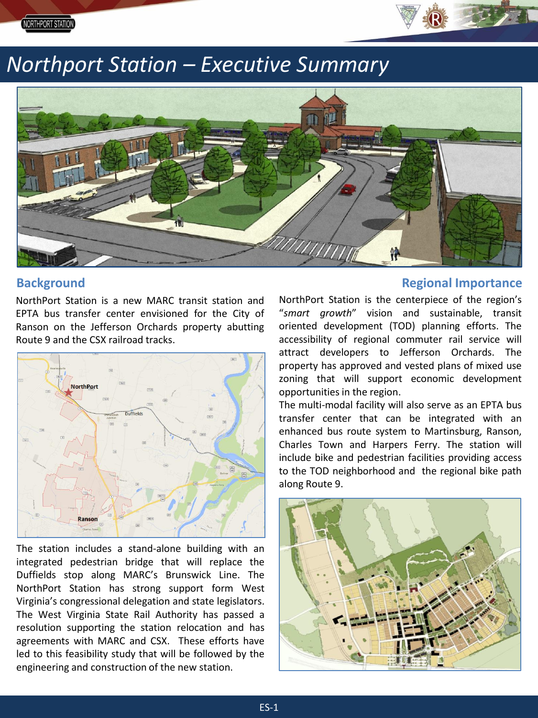

# *Northport Station – Executive Summary*



# **Background**

NorthPort Station is a new MARC transit station and EPTA bus transfer center envisioned for the City of Ranson on the Jefferson Orchards property abutting Route 9 and the CSX railroad tracks.



The station includes a stand-alone building with an integrated pedestrian bridge that will replace the Duffields stop along MARC's Brunswick Line. The NorthPort Station has strong support form West Virginia's congressional delegation and state legislators. The West Virginia State Rail Authority has passed a resolution supporting the station relocation and has agreements with MARC and CSX. These efforts have led to this feasibility study that will be followed by the engineering and construction of the new station.

## **Regional Importance**

NorthPort Station is the centerpiece of the region's "*smart growth*" vision and sustainable, transit oriented development (TOD) planning efforts. The accessibility of regional commuter rail service will attract developers to Jefferson Orchards. The property has approved and vested plans of mixed use zoning that will support economic development opportunities in the region.

The multi-modal facility will also serve as an EPTA bus transfer center that can be integrated with an enhanced bus route system to Martinsburg, Ranson, Charles Town and Harpers Ferry. The station will include bike and pedestrian facilities providing access to the TOD neighborhood and the regional bike path along Route 9.